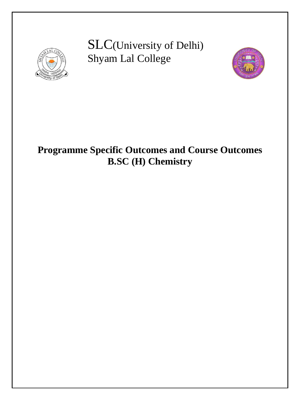

SLC(University of Delhi) Shyam Lal College



# **Programme Specific Outcomes and Course Outcomes B.SC (H) Chemistry**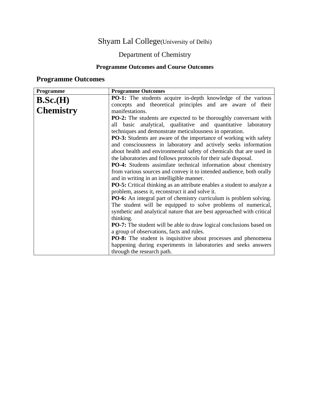#### Shyam Lal College(University of Delhi)

#### Department of Chemistry

#### **Programme Outcomes and Course Outcomes**

#### **Programme Outcomes**

| Programme        | <b>Programme Outcomes</b>                                                     |  |  |
|------------------|-------------------------------------------------------------------------------|--|--|
| B.Sc.(H)         | <b>PO-1:</b> The students acquire in-depth knowledge of the various           |  |  |
|                  | concepts and theoretical principles and are aware of their                    |  |  |
| <b>Chemistry</b> | manifestations.                                                               |  |  |
|                  | <b>PO-2:</b> The students are expected to be thoroughly conversant with       |  |  |
|                  | all basic analytical, qualitative and quantitative laboratory                 |  |  |
|                  | techniques and demonstrate meticulousness in operation.                       |  |  |
|                  | <b>PO-3:</b> Students are aware of the importance of working with safety      |  |  |
|                  | and consciousness in laboratory and actively seeks information                |  |  |
|                  | about health and environmental safety of chemicals that are used in           |  |  |
|                  | the laboratories and follows protocols for their safe disposal.               |  |  |
|                  | PO-4: Students assimilate technical information about chemistry               |  |  |
|                  | from various sources and convey it to intended audience, both orally          |  |  |
|                  | and in writing in an intelligible manner.                                     |  |  |
|                  | <b>PO-5:</b> Critical thinking as an attribute enables a student to analyze a |  |  |
|                  | problem, assess it, reconstruct it and solve it.                              |  |  |
|                  | <b>PO-6:</b> An integral part of chemistry curriculum is problem solving.     |  |  |
|                  | The student will be equipped to solve problems of numerical,                  |  |  |
|                  | synthetic and analytical nature that are best approached with critical        |  |  |
|                  | thinking.                                                                     |  |  |
|                  | <b>PO-7:</b> The student will be able to draw logical conclusions based on    |  |  |
|                  | a group of observations, facts and rules.                                     |  |  |
|                  | <b>PO-8:</b> The student is inquisitive about processes and phenomena         |  |  |
|                  | happening during experiments in laboratories and seeks answers                |  |  |
|                  | through the research path.                                                    |  |  |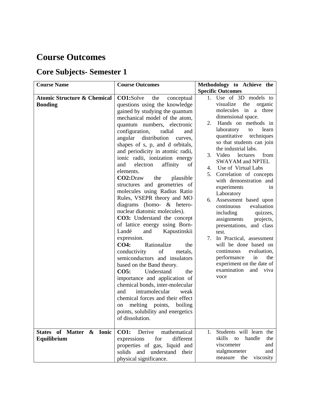#### **Course Outcomes**

| <b>Course Name</b>                                       | <b>Course Outcomes</b>                                                                                                                                                                                                                                                                                                                                                                                                                                                                                                                                                                                                                                                                                                                                                                                                                                                                                                                                                                                                                                                                                                                                                                                       | Methodology to Achieve the<br><b>Specific Outcomes</b>                                                                                                                                                                                                                                                                                                                                                                                                                                                                                                                                                                                                                                                                                                                          |
|----------------------------------------------------------|--------------------------------------------------------------------------------------------------------------------------------------------------------------------------------------------------------------------------------------------------------------------------------------------------------------------------------------------------------------------------------------------------------------------------------------------------------------------------------------------------------------------------------------------------------------------------------------------------------------------------------------------------------------------------------------------------------------------------------------------------------------------------------------------------------------------------------------------------------------------------------------------------------------------------------------------------------------------------------------------------------------------------------------------------------------------------------------------------------------------------------------------------------------------------------------------------------------|---------------------------------------------------------------------------------------------------------------------------------------------------------------------------------------------------------------------------------------------------------------------------------------------------------------------------------------------------------------------------------------------------------------------------------------------------------------------------------------------------------------------------------------------------------------------------------------------------------------------------------------------------------------------------------------------------------------------------------------------------------------------------------|
| <b>Atomic Structure &amp; Chemical</b><br><b>Bonding</b> | CO1:Solve<br>the<br>conceptual<br>questions using the knowledge<br>gained by studying the quantum<br>mechanical model of the atom,<br>quantum numbers, electronic<br>configuration,<br>radial<br>and<br>angular distribution<br>curves,<br>shapes of s, p, and d orbitals,<br>and periodicity in atomic radii,<br>ionic radii, ionization energy<br>affinity<br>and<br>electron<br>of<br>elements.<br>CO2:Draw<br>the<br>plausible<br>structures and geometries of<br>molecules using Radius Ratio<br>Rules, VSEPR theory and MO<br>diagrams (homo- & hetero-<br>nuclear diatomic molecules).<br>CO3: Understand the concept<br>of lattice energy using Born-<br>Landé<br>Kapustinskii<br>and<br>expression.<br><b>CO4:</b><br>Rationalize<br>the<br>conductivity<br>$% \left( \left( \mathcal{A},\mathcal{A}\right) \right) =\left( \mathcal{A},\mathcal{A}\right)$ of<br>metals,<br>semiconductors and insulators<br>based on the Band theory.<br>CO5:<br>Understand<br>the<br>importance and application of<br>chemical bonds, inter-molecular<br>intramolecular<br>weak<br>and<br>chemical forces and their effect<br>on melting points, boiling<br>points, solubility and energetics<br>of dissolution. | 1. Use of 3D models to<br>visualize<br>the<br>organic<br>molecules in a three<br>dimensional space.<br>2. Hands on methods in<br>laboratory<br>learn<br>to<br>quantitative<br>techniques<br>so that students can join<br>the industrial labs.<br>3. Video<br>lectures<br>from<br><b>SWAYAM</b> and NPTEL<br>Use of Virtual Labs<br>4.<br>Correlation of concepts<br>5.<br>with demonstration and<br>experiments<br>1n<br>Laboratory<br>Assessment based upon<br>6.<br>continuous<br>evaluation<br>including<br>quizzes,<br>assignments<br>projects,<br>presentations, and class<br>test.<br>7.<br>In Practical, assessment<br>will be done based on<br>continuous<br>evaluation,<br>performance<br>in<br>the<br>experiment on the date of<br>examination<br>and<br>viva<br>voce |
| States of Matter & Ionic<br>Equilibrium                  | <b>CO1:</b><br>Derive<br>mathematical<br>for<br>different<br>expressions<br>properties of gas, liquid and<br>solids and understand<br>their<br>physical significance.                                                                                                                                                                                                                                                                                                                                                                                                                                                                                                                                                                                                                                                                                                                                                                                                                                                                                                                                                                                                                                        | 1. Students will learn the<br>skills<br>handle<br>to<br>the<br>viscometer<br>and<br>stalgmometer<br>and<br>measure<br>viscosity<br>the                                                                                                                                                                                                                                                                                                                                                                                                                                                                                                                                                                                                                                          |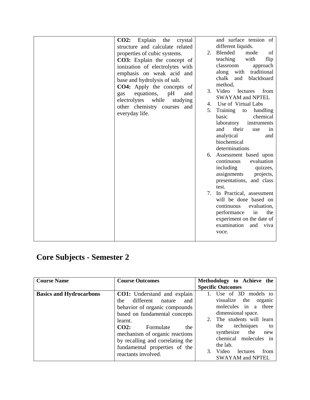| Explain<br>CO2:<br>the<br>crystal<br>structure and calculate related<br>properties of cubic systems.<br>CO3: Explain the concept of<br>ionization of electrolytes with<br>emphasis on weak acid and<br>base and hydrolysis of salt.<br>CO4: Apply the concepts of<br>equations,<br>pH<br>and<br>gas<br>while<br>electrolytes<br>studying<br>other chemistry courses and<br>everyday life. | and surface tension of<br>different liquids.<br>Blended<br>mode<br>2.<br>of<br>teaching<br>with<br>flip<br>classroom<br>approach<br>along with<br>traditional<br>chalk<br>and<br>blackboard<br>method.<br>3.<br>Video<br>lectures<br>from<br><b>SWAYAM and NPTEL</b><br>Use of Virtual Labs<br>4.<br>5.<br>Training<br>handling<br>to<br>basic<br>chemical<br>laboratory<br>instruments<br>and<br>their<br>in<br>use<br>analytical<br>and<br>biochemical<br>determinations<br>Assessment based upon<br>6.<br>evaluation<br>continuous<br>including<br>quizzes,<br>assignments<br>projects,<br>presentations, and class<br>test.<br>In Practical, assessment<br>7.<br>will be done based on<br>continuous<br>evaluation,<br>performance<br>in<br>the<br>experiment on the date of<br>examination<br>and<br>viva<br>voce. |
|-------------------------------------------------------------------------------------------------------------------------------------------------------------------------------------------------------------------------------------------------------------------------------------------------------------------------------------------------------------------------------------------|-------------------------------------------------------------------------------------------------------------------------------------------------------------------------------------------------------------------------------------------------------------------------------------------------------------------------------------------------------------------------------------------------------------------------------------------------------------------------------------------------------------------------------------------------------------------------------------------------------------------------------------------------------------------------------------------------------------------------------------------------------------------------------------------------------------------------|
|-------------------------------------------------------------------------------------------------------------------------------------------------------------------------------------------------------------------------------------------------------------------------------------------------------------------------------------------------------------------------------------------|-------------------------------------------------------------------------------------------------------------------------------------------------------------------------------------------------------------------------------------------------------------------------------------------------------------------------------------------------------------------------------------------------------------------------------------------------------------------------------------------------------------------------------------------------------------------------------------------------------------------------------------------------------------------------------------------------------------------------------------------------------------------------------------------------------------------------|

| <b>Course Name</b>             | <b>Course Outcomes</b>                                                                                                                                                                                                                                                                                         | Methodology to Achieve the                                                                                                                                                                                                                                                      |
|--------------------------------|----------------------------------------------------------------------------------------------------------------------------------------------------------------------------------------------------------------------------------------------------------------------------------------------------------------|---------------------------------------------------------------------------------------------------------------------------------------------------------------------------------------------------------------------------------------------------------------------------------|
|                                |                                                                                                                                                                                                                                                                                                                | <b>Specific Outcomes</b>                                                                                                                                                                                                                                                        |
| <b>Basics and Hydrocarbons</b> | <b>CO1:</b> Understand and explain<br>different nature<br>the<br>and<br>behavior of organic compounds<br>based on fundamental concepts<br>learnt.<br>$CO2$ :<br>Formulate<br>the<br>mechanism of organic reactions<br>by recalling and correlating the<br>fundamental properties of the<br>reactants involved. | Use of 3D models to<br>visualize the<br>organic<br>molecules in a three<br>dimensional space.<br>The students will learn<br>2.<br>techniques<br>the<br>to<br>synthesize the<br>new<br>chemical molecules in<br>the lab.<br>Video<br>from<br>lectures<br><b>SWAYAM and NPTEL</b> |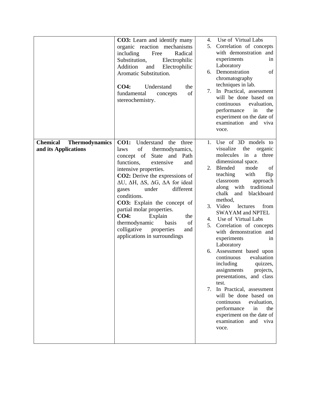|                                                                  | <b>CO3:</b> Learn and identify many<br>organic reaction mechanisms<br>including<br>Radical<br>Free<br>Substitution,<br>Electrophilic<br>Addition<br>Electrophilic<br>and<br>Aromatic Substitution.<br>CO4:<br>Understand<br>the<br>of<br>fundamental<br>concepts<br>stereochemistry.                                                                                                                                                                                                                                                      | 4.<br>6.<br>7.                                  | Use of Virtual Labs<br>5. Correlation of concepts<br>with demonstration and<br>experiments<br>1n<br>Laboratory<br>Demonstration<br>of<br>chromatography<br>techniques in lab.<br>In Practical, assessment<br>will be done based on<br>continuous<br>evaluation,<br>performance<br>in<br>the<br>experiment on the date of<br>examination<br>and<br>viva<br>voce.                                                                                                                                                                                                                                                                                                                                                                                                          |
|------------------------------------------------------------------|-------------------------------------------------------------------------------------------------------------------------------------------------------------------------------------------------------------------------------------------------------------------------------------------------------------------------------------------------------------------------------------------------------------------------------------------------------------------------------------------------------------------------------------------|-------------------------------------------------|--------------------------------------------------------------------------------------------------------------------------------------------------------------------------------------------------------------------------------------------------------------------------------------------------------------------------------------------------------------------------------------------------------------------------------------------------------------------------------------------------------------------------------------------------------------------------------------------------------------------------------------------------------------------------------------------------------------------------------------------------------------------------|
| <b>Chemical</b><br><b>Thermodynamics</b><br>and its Applications | <b>CO1:</b><br>Understand the<br>three<br>of<br>thermodynamics,<br>laws<br>concept of<br>State and<br>Path<br>functions,<br>extensive<br>and<br>intensive properties.<br>CO2: Derive the expressions of<br>$\Delta U$ , $\Delta H$ , $\Delta S$ , $\Delta G$ , $\Delta A$ for ideal<br>different<br>under<br>gases<br>conditions.<br><b>CO3:</b> Explain the concept of<br>partial molar properties.<br><b>CO4:</b><br>Explain<br>the<br>of<br>thermodynamic<br>basis<br>colligative<br>properties<br>and<br>applications in surroundings | $1_{\cdot}$<br>2.<br>3.<br>4.<br>5.<br>6.<br>7. | Use of 3D models to<br>visualize<br>the<br>organic<br>molecules<br>in<br>three<br>a<br>dimensional space.<br>Blended<br>mode<br>of<br>teaching<br>with<br>flip<br>classroom<br>approach<br>traditional<br>along<br>with<br>chalk<br>blackboard<br>and<br>method,<br>Video<br>from<br>lectures<br><b>SWAYAM and NPTEL</b><br>Use of Virtual Labs<br>Correlation of concepts<br>with demonstration and<br>experiments<br>in<br>Laboratory<br>Assessment based upon<br>continuous<br>evaluation<br>including<br>quizzes,<br>assignments<br>projects,<br>presentations, and class<br>test.<br>In Practical, assessment<br>will be done based on<br>continuous<br>evaluation,<br>performance<br>in<br>the<br>experiment on the date of<br>examination<br>and<br>viva<br>voce. |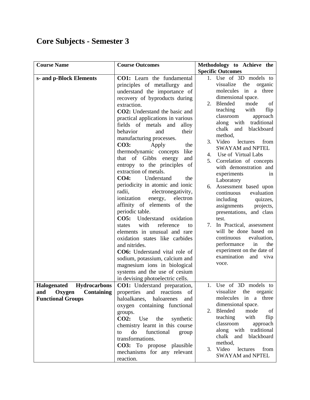| <b>Course Name</b>                        | <b>Course Outcomes</b>                | Methodology to Achieve the                  |
|-------------------------------------------|---------------------------------------|---------------------------------------------|
|                                           |                                       | <b>Specific Outcomes</b>                    |
| s- and p-Block Elements                   | <b>CO1:</b> Learn the fundamental     | 1. Use of 3D models to                      |
|                                           | principles of metallurgy and          | visualize<br>the<br>organic                 |
|                                           | understand the importance of          | molecules in a three                        |
|                                           | recovery of byproducts during         | dimensional space.                          |
|                                           | extraction.                           | Blended<br>mode<br>2.<br>of                 |
|                                           | <b>CO2</b> : Understand the basic and | teaching<br>with<br>flip                    |
|                                           | practical applications in various     | classroom<br>approach                       |
|                                           | fields of metals and<br>alloy         | with traditional<br>along                   |
|                                           | behavior<br>and<br>their              | chalk<br>blackboard<br>and                  |
|                                           | manufacturing processes.              | method,<br>3. Video                         |
|                                           | <b>CO3:</b><br>Apply<br>the           | lectures<br>from<br><b>SWAYAM</b> and NPTEL |
|                                           | thermodynamic concepts<br>like        | 4. Use of Virtual Labs                      |
|                                           | that of Gibbs<br>energy<br>and        | Correlation of concepts<br>5.               |
|                                           | entropy to the principles of          | with demonstration and                      |
|                                           | extraction of metals.                 | experiments<br>in                           |
|                                           | <b>CO4:</b><br>Understand<br>the      | Laboratory                                  |
|                                           | periodicity in atomic and ionic       | Assessment based upon<br>6.                 |
|                                           | electronegativity,<br>radii.          | evaluation<br>continuous                    |
|                                           | ionization<br>energy,<br>electron     | including<br>quizzes,                       |
|                                           | affinity of elements of the           | assignments<br>projects,                    |
|                                           | periodic table.                       | presentations, and class                    |
|                                           | Understand oxidation<br><b>CO5:</b>   | test.                                       |
|                                           | with<br>reference<br>states<br>to     | 7. In Practical, assessment                 |
|                                           | elements in unusual and rare          | will be done based on                       |
|                                           | oxidation states like carbides        | continuous<br>evaluation,                   |
|                                           | and nitrides.                         | performance<br>in<br>the                    |
|                                           | CO6: Understand vital role of         | experiment on the date of                   |
|                                           | sodium, potassium, calcium and        | examination<br>and viva                     |
|                                           | magnesium ions in biological          | voce.                                       |
|                                           | systems and the use of cesium         |                                             |
|                                           | in devising photoelectric cells.      |                                             |
| <b>Hydrocarbons</b><br><b>Halogenated</b> | CO1: Understand preparation,          | Use of 3D models to                         |
| Oxygen Containing<br>and                  | properties and reactions of           | visualize<br>the<br>organic                 |
| <b>Functional Groups</b>                  | haloalkanes, haloarenes and           | molecules in<br>a three                     |
|                                           | oxygen containing functional          | dimensional space.                          |
|                                           | groups.                               | mode<br>2. Blended<br>of                    |
|                                           | CO2:<br>Use<br>the<br>synthetic       | teaching<br>with<br>flip                    |
|                                           | chemistry learnt in this course       | classroom<br>approach                       |
|                                           | do<br>functional<br>to<br>group       | along with traditional                      |
|                                           | transformations.                      | chalk<br>and blackboard                     |
|                                           | CO3: To propose plausible             | method,                                     |
|                                           | mechanisms for any relevant           | 3. Video<br>lectures<br>from                |
|                                           | reaction.                             | <b>SWAYAM</b> and NPTEL                     |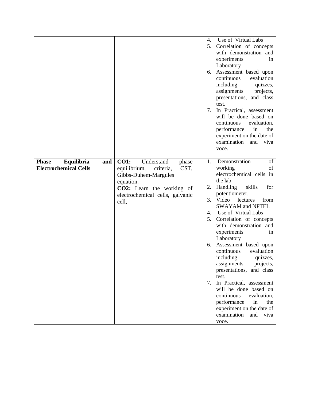|                                                                   |                                                                                                                                                                                              | 4.<br>5.<br>6.<br>7.                               | Use of Virtual Labs<br>Correlation of concepts<br>with demonstration and<br>experiments<br>in<br>Laboratory<br>Assessment based upon<br>continuous<br>evaluation<br>including<br>quizzes,<br>assignments<br>projects,<br>presentations, and class<br>test.<br>In Practical, assessment<br>will be done based on<br>continuous<br>evaluation,<br>performance<br>in<br>the<br>experiment on the date of<br>examination<br>and<br>viva<br>voce.                                                                                                                                                                                       |
|-------------------------------------------------------------------|----------------------------------------------------------------------------------------------------------------------------------------------------------------------------------------------|----------------------------------------------------|------------------------------------------------------------------------------------------------------------------------------------------------------------------------------------------------------------------------------------------------------------------------------------------------------------------------------------------------------------------------------------------------------------------------------------------------------------------------------------------------------------------------------------------------------------------------------------------------------------------------------------|
| Equilibria<br><b>Phase</b><br>and<br><b>Electrochemical Cells</b> | <b>CO1:</b><br>Understand<br>phase<br>CST,<br>equilibrium,<br>criteria,<br>Gibbs-Duhem-Margules<br>equation.<br><b>CO2:</b> Learn the working of<br>electrochemical cells, galvanic<br>cell, | $\mathbf{1}$ .<br>2.<br>3.<br>4.<br>5.<br>6.<br>7. | Demonstration<br>of<br>working<br>οf<br>electrochemical cells in<br>the lab<br>Handling<br>skills<br>for<br>potentiometer.<br>Video<br>lectures<br>from<br><b>SWAYAM</b> and NPTEL<br>Use of Virtual Labs<br>Correlation of concepts<br>with demonstration and<br>experiments<br>in<br>Laboratory<br>Assessment based upon<br>evaluation<br>continuous<br>including<br>quizzes,<br>assignments<br>projects,<br>presentations, and class<br>test.<br>In Practical, assessment<br>will be done based on<br>continuous<br>evaluation,<br>performance<br>in<br>the<br>experiment on the date of<br>examination<br>and<br>viva<br>voce. |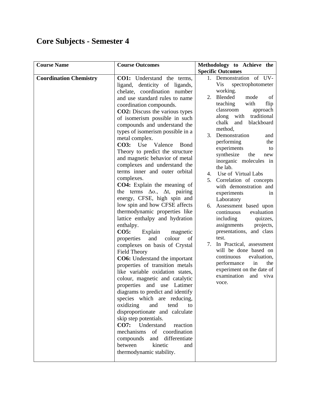| <b>Course Name</b>            | <b>Course Outcomes</b>                      | Methodology to Achieve the             |
|-------------------------------|---------------------------------------------|----------------------------------------|
|                               |                                             | <b>Specific Outcomes</b>               |
| <b>Coordination Chemistry</b> | <b>CO1:</b> Understand the terms,           | 1. Demonstration of UV-                |
|                               | ligand, denticity of ligands,               | Vis<br>spectrophotometer               |
|                               | chelate, coordination number                | working.<br>mode                       |
|                               | and use standard rules to name              | Blended<br>2.<br>of<br>with<br>flip    |
|                               | coordination compounds.                     | teaching<br>classroom<br>approach      |
|                               | <b>CO2</b> : Discuss the various types      | traditional<br>along<br>with           |
|                               | of isomerism possible in such               | blackboard<br>chalk<br>and             |
|                               | compounds and understand the                | method,                                |
|                               | types of isomerism possible in a            | Demonstration<br>3.<br>and             |
|                               | metal complex.                              | performing<br>the                      |
|                               | CO3: Use<br>Valence<br><b>B</b> ond         | experiments<br>to                      |
|                               | Theory to predict the structure             | synthesize<br>the<br>new               |
|                               | and magnetic behavior of metal              | inorganic molecules in                 |
|                               | complexes and understand the                | the lab.                               |
|                               | terms inner and outer orbital<br>complexes. | Use of Virtual Labs<br>4.              |
|                               | <b>CO4:</b> Explain the meaning of          | Correlation of concepts<br>5.          |
|                               | the terms $\Delta o$ , $\Delta t$ , pairing | with demonstration and                 |
|                               | energy, CFSE, high spin and                 | experiments<br>1n                      |
|                               | low spin and how CFSE affects               | Laboratory<br>6. Assessment based upon |
|                               | thermodynamic properties like               | continuous<br>evaluation               |
|                               | lattice enthalpy and hydration              | including<br>quizzes,                  |
|                               | enthalpy.                                   | assignments<br>projects,               |
|                               | <b>CO5:</b><br>Explain<br>magnetic          | presentations, and class               |
|                               | and<br>colour<br>of<br>properties           | test.                                  |
|                               | complexes on basis of Crystal               | 7.<br>In Practical, assessment         |
|                               | <b>Field Theory</b>                         | will be done based on                  |
|                               | <b>CO6:</b> Understand the important        | continuous<br>evaluation,              |
|                               | properties of transition metals             | performance<br>in<br>the               |
|                               | like variable oxidation states,             | experiment on the date of              |
|                               | colour, magnetic and catalytic              | examination<br>and<br>viva             |
|                               | properties and use Latimer                  | voce.                                  |
|                               | diagrams to predict and identify            |                                        |
|                               | species which are reducing,                 |                                        |
|                               | oxidizing<br>and<br>tend<br>to              |                                        |
|                               | disproportionate and calculate              |                                        |
|                               | skip step potentials.                       |                                        |
|                               | CO7: Understand<br>reaction                 |                                        |
|                               | mechanisms of coordination                  |                                        |
|                               | compounds and differentiate                 |                                        |
|                               | between<br>kinetic<br>and                   |                                        |
|                               | thermodynamic stability.                    |                                        |
|                               |                                             |                                        |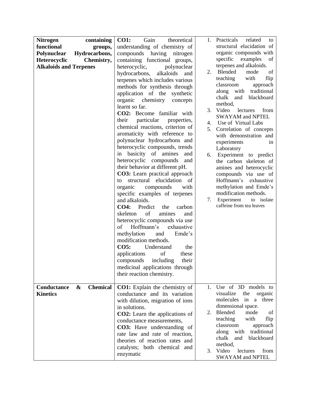| <b>Nitrogen</b>               | containing                           | <b>CO1:</b><br>Gain<br>theoretical      | 1.          | Practicals<br>related<br>to                                |
|-------------------------------|--------------------------------------|-----------------------------------------|-------------|------------------------------------------------------------|
| functional                    | groups,                              | understanding of chemistry of           |             | structural elucidation of                                  |
| Polynuclear                   | Hydrocarbons,                        | compounds having nitrogen               |             | organic compounds with                                     |
| <b>Heterocyclic</b>           | Chemistry,                           | containing functional groups,           |             | specific<br>examples<br>of                                 |
| <b>Alkaloids and Terpenes</b> |                                      | polynuclear<br>heterocyclic,            |             | terpenes and alkaloids.                                    |
|                               |                                      | hydrocarbons,<br>alkaloids<br>and       | 2.          | Blended<br>mode<br>of                                      |
|                               |                                      | terpenes which includes various         |             | teaching<br>with<br>flip                                   |
|                               |                                      | methods for synthesis through           |             | classroom<br>approach                                      |
|                               |                                      | application of the synthetic            |             | along<br>traditional<br>with                               |
|                               |                                      | organic chemistry<br>concepts           |             | blackboard<br>chalk<br>and                                 |
|                               |                                      | learnt so far.                          |             | method,                                                    |
|                               |                                      | CO2: Become familiar with               | 3.          | Video<br>lectures<br>from                                  |
|                               |                                      | particular<br>their<br>properties,      |             | <b>SWAYAM</b> and NPTEL                                    |
|                               |                                      | chemical reactions, criterion of        | 4.          | Use of Virtual Labs                                        |
|                               |                                      | aromaticity with reference to           | 5.          | Correlation of concepts                                    |
|                               |                                      | polynuclear hydrocarbons and            |             | with demonstration and<br>experiments<br>in                |
|                               |                                      | heterocyclic compounds, trends          |             | Laboratory                                                 |
|                               |                                      | in basicity of amines<br>and            | 6.          | Experiment to predict                                      |
|                               |                                      | heterocyclic compounds<br>and           |             | the carbon skeleton of                                     |
|                               |                                      | their behavior at different pH.         |             | amines and heterocyclic                                    |
|                               |                                      | <b>CO3</b> : Learn practical approach   |             | compounds via use of                                       |
|                               |                                      | structural elucidation of<br>to         |             | Hoffmann's exhaustive                                      |
|                               |                                      | organic compounds<br>with               |             | methylation and Emde's                                     |
|                               |                                      | specific examples of terpenes           |             | modification methods.                                      |
|                               |                                      | and alkaloids.                          | 7.          | Experiment<br>to isolate                                   |
|                               |                                      | <b>CO4:</b><br>Predict<br>the<br>carbon |             | caffeine from tea leaves                                   |
|                               |                                      | of<br>amines<br>skeleton<br>and         |             |                                                            |
|                               |                                      | heterocyclic compounds via use          |             |                                                            |
|                               |                                      | Hoffmann's<br>of<br>exhaustive          |             |                                                            |
|                               |                                      | methylation<br>Emde's<br>and            |             |                                                            |
|                               |                                      | modification methods.                   |             |                                                            |
|                               |                                      | <b>CO5:</b><br>Understand<br>the        |             |                                                            |
|                               |                                      | of<br>applications<br>these             |             |                                                            |
|                               |                                      | including<br>compounds<br>their         |             |                                                            |
|                               |                                      | medicinal applications through          |             |                                                            |
|                               |                                      | their reaction chemistry.               |             |                                                            |
|                               |                                      |                                         |             |                                                            |
| Conductance                   | <b>Chemical</b><br>$\boldsymbol{\&}$ | <b>CO1:</b> Explain the chemistry of    | $1_{\cdot}$ | Use of 3D models to                                        |
| <b>Kinetics</b>               |                                      | conductance and its variation           |             | visualize<br>the<br>organic                                |
|                               |                                      | with dilution, migration of ions        |             | in<br>a three<br>molecules                                 |
|                               |                                      | in solutions.                           |             | dimensional space.                                         |
|                               |                                      | <b>CO2</b> : Learn the applications of  | 2.          | mode<br>Blended<br>of                                      |
|                               |                                      | conductance measurements,               |             | teaching<br>with<br>flip                                   |
|                               |                                      | <b>CO3:</b> Have understanding of       |             | classroom<br>approach                                      |
|                               |                                      | rate law and rate of reaction,          |             | traditional<br>along<br>with<br>chalk<br>blackboard<br>and |
|                               |                                      | theories of reaction rates and          |             | method,                                                    |
|                               |                                      | catalysts; both chemical and            |             | 3. Video<br>lectures<br>from                               |
|                               |                                      | enzymatic                               |             | <b>SWAYAM and NPTEL</b>                                    |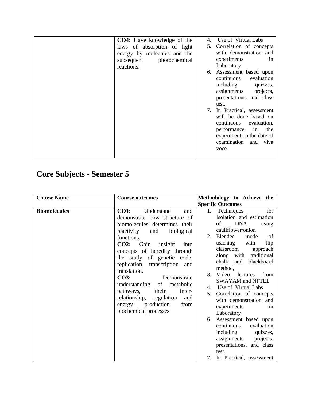| <b>CO4:</b> Have knowledge of the<br>laws of absorption of light<br>energy by molecules and the<br>photochemical<br>subsequent<br>reactions. | Use of Virtual Labs<br>4.<br>Correlation of concepts<br>5.<br>with demonstration and<br>experiments<br>1n<br>Laboratory<br>Assessment based upon<br>6.<br>evaluation<br>continuous<br>including<br>quizzes,<br>assignments<br>projects,<br>presentations, and class |
|----------------------------------------------------------------------------------------------------------------------------------------------|---------------------------------------------------------------------------------------------------------------------------------------------------------------------------------------------------------------------------------------------------------------------|
|                                                                                                                                              | test.<br>In Practical, assessment<br>7.<br>will be done based on<br>evaluation,<br>continuous<br>performance<br>in<br>the<br>experiment on the date of<br>examination<br>and<br>viva<br>voce.                                                                       |

| <b>Course Name</b>  | <b>Course outcomes</b>                                                                                                                                                                                                                                                                                                                                                                                                                                                                         | Methodology to Achieve the                                                                                                                                                                                                                                                                                                                                                                                                                                                                                                                                                                                                               |
|---------------------|------------------------------------------------------------------------------------------------------------------------------------------------------------------------------------------------------------------------------------------------------------------------------------------------------------------------------------------------------------------------------------------------------------------------------------------------------------------------------------------------|------------------------------------------------------------------------------------------------------------------------------------------------------------------------------------------------------------------------------------------------------------------------------------------------------------------------------------------------------------------------------------------------------------------------------------------------------------------------------------------------------------------------------------------------------------------------------------------------------------------------------------------|
|                     |                                                                                                                                                                                                                                                                                                                                                                                                                                                                                                | <b>Specific Outcomes</b>                                                                                                                                                                                                                                                                                                                                                                                                                                                                                                                                                                                                                 |
| <b>Biomolecules</b> | and<br><b>CO1:</b><br>Understand<br>demonstrate how structure of<br>biomolecules determines their<br>biological<br>reactivity<br>and<br>functions.<br>CO2:<br>Gain<br>insight<br>into<br>concepts of heredity through<br>the study of genetic code,<br>replication, transcription and<br>translation.<br><b>CO3:</b><br>Demonstrate<br>understanding of metabolic<br>their<br>pathways,<br>inter-<br>relationship, regulation<br>and<br>production<br>from<br>energy<br>biochemical processes. | Techniques<br>for<br>1.<br>Isolation and estimation<br><b>DNA</b><br>of<br>using<br>cauliflower/onion<br>2. Blended<br>- of<br>mode<br>teaching<br>with<br>flip<br>classroom<br>approach<br>along with traditional<br>chalk<br>blackboard<br>and<br>method,<br>3.<br>Video<br>lectures<br>from<br><b>SWAYAM and NPTEL</b><br>Use of Virtual Labs<br>4.<br>Correlation of concepts<br>5.<br>with demonstration and<br>experiments<br>in<br>Laboratory<br>Assessment based upon<br>6.<br>evaluation<br>continuous<br>including<br>quizzes,<br>assignments<br>projects,<br>presentations, and class<br>test.<br>7. In Practical, assessment |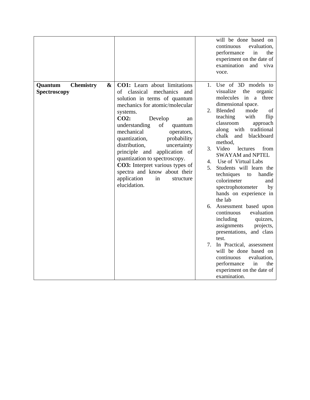|              |                                                                                                                                                                                                                                                                       | will be done based on<br>continuous<br>evaluation,<br>performance<br>in<br>the<br>experiment on the date of<br>examination<br>and<br>viva<br>voce.                                                                                                                                 |
|--------------|-----------------------------------------------------------------------------------------------------------------------------------------------------------------------------------------------------------------------------------------------------------------------|------------------------------------------------------------------------------------------------------------------------------------------------------------------------------------------------------------------------------------------------------------------------------------|
| Spectroscopy | of classical<br>mechanics<br>and<br>solution in terms of quantum<br>mechanics for atomic/molecular<br>systems.<br>CO2:<br>Develop<br>an<br>of<br>understanding<br>quantum<br>mechanical<br>operators,<br>quantization,<br>probability<br>distribution,<br>uncertainty | visualize<br>the<br>organic<br>molecules<br>in<br>a<br>three<br>dimensional space.<br>Blended<br>mode<br>2.<br>of<br>teaching<br>with<br>flip<br>classroom<br>approach<br>traditional<br>along<br>with<br>chalk<br>blackboard<br>and<br>method.<br>Video<br>3.<br>lectures<br>from |
|              | principle and application of<br>quantization to spectroscopy.<br>CO3: Interpret various types of<br>spectra and know about their<br>application<br>in<br>structure<br>elucidation.                                                                                    | <b>SWAYAM and NPTEL</b><br>Use of Virtual Labs<br>4.<br>Students will learn the<br>5.<br>techniques<br>handle<br>to<br>colorimeter<br>and<br>spectrophotometer<br>by<br>hands on experience in<br>the lab                                                                          |
|              |                                                                                                                                                                                                                                                                       | 6. Assessment based upon<br>continuous<br>evaluation<br>including<br>quizzes,<br>assignments<br>projects,<br>presentations, and class                                                                                                                                              |
|              |                                                                                                                                                                                                                                                                       | test.<br>In Practical, assessment<br>will be done based on<br>continuous<br>evaluation,<br>performance<br>in<br>the<br>experiment on the date of<br>examination.                                                                                                                   |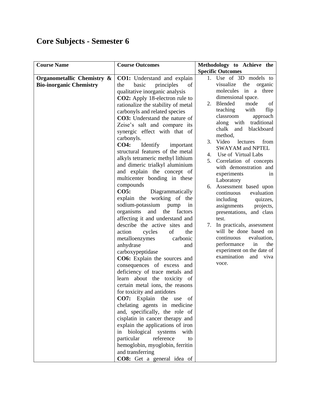| <b>Course Name</b>             | <b>Course Outcomes</b>                | Methodology to Achieve the               |
|--------------------------------|---------------------------------------|------------------------------------------|
|                                |                                       | <b>Specific Outcomes</b>                 |
| Organometallic Chemistry &     | <b>CO1:</b> Understand and explain    | 1. Use of 3D models to                   |
| <b>Bio-inorganic Chemistry</b> | of<br>basic<br>principles<br>the      | visualize<br>the<br>organic              |
|                                | qualitative inorganic analysis        | three<br>molecules<br>in<br>a            |
|                                | <b>CO2:</b> Apply 18-electron rule to | dimensional space.                       |
|                                | rationalize the stability of metal    | Blended<br>mode<br>2.<br>of              |
|                                | carbonyls and related species         | teaching<br>with<br>flip                 |
|                                | CO3: Understand the nature of         | classroom<br>approach                    |
|                                | Zeise's salt and compare its          | traditional<br>along<br>with             |
|                                | synergic effect with that of          | chalk<br>blackboard<br>and<br>method,    |
|                                | carbonyls.                            | 3. Video<br>lectures<br>from             |
|                                | <b>CO4:</b><br>Identify<br>important  | <b>SWAYAM and NPTEL</b>                  |
|                                | structural features of the metal      | Use of Virtual Labs<br>4.                |
|                                | alkyls tetrameric methyl lithium      | 5.<br>Correlation of concepts            |
|                                | and dimeric trialkyl aluminium        | with demonstration and                   |
|                                | and explain the concept of            | experiments<br>in                        |
|                                | multicenter bonding in these          | Laboratory                               |
|                                | compounds                             | 6. Assessment based upon                 |
|                                | <b>CO5:</b><br>Diagrammatically       | evaluation<br>continuous                 |
|                                | explain the working of the            | including<br>quizzes,                    |
|                                | sodium-potassium pump<br>in           | assignments<br>projects,                 |
|                                | organisms<br>and<br>the<br>factors    | presentations, and class                 |
|                                | affecting it and understand and       | test.                                    |
|                                | describe the active sites and         | In practicals, assessment<br>7.          |
|                                | of<br>action<br>cycles<br>the         | will be done based on                    |
|                                | carbonic<br>metalloenzymes            | continuous<br>evaluation,                |
|                                | anhydrase<br>and                      | performance<br>in<br>the                 |
|                                | carboxypeptidase                      | experiment on the date of<br>examination |
|                                | CO6: Explain the sources and          | and<br>viva                              |
|                                | consequences of excess and            | voce.                                    |
|                                | deficiency of trace metals and        |                                          |
|                                | learn about the toxicity of           |                                          |
|                                | certain metal ions, the reasons       |                                          |
|                                | for toxicity and antidotes            |                                          |
|                                | CO7: Explain the use of               |                                          |
|                                | chelating agents in medicine          |                                          |
|                                | and, specifically, the role of        |                                          |
|                                | cisplatin in cancer therapy and       |                                          |
|                                | explain the applications of iron      |                                          |
|                                | in biological systems<br>with         |                                          |
|                                | particular<br>reference<br>to         |                                          |
|                                | hemoglobin, myoglobin, ferritin       |                                          |
|                                | and transferring                      |                                          |
|                                | CO8: Get a general idea of            |                                          |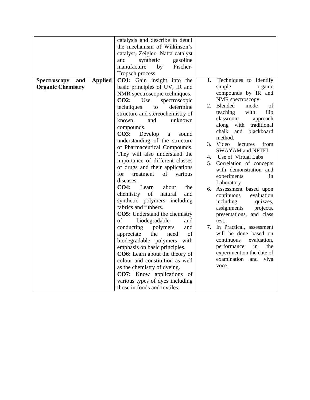| <b>Spectroscopy</b><br>and<br><b>Organic Chemistry</b> | <b>Applied</b> | catalysis and describe in detail<br>the mechanism of Wilkinson's<br>catalyst, Zeigler- Natta catalyst<br>synthetic<br>gasoline<br>and<br>manufacture<br>Fischer-<br>by<br>Tropsch process.<br><b>CO1:</b> Gain insight into the<br>basic principles of UV, IR and<br>NMR spectroscopic techniques.                                                                                                                                                                                                                                                                                                                                                                                                                                                                                                                                                                                                                                                                         | 1.                         | Techniques to Identify<br>simple<br>organic<br>compounds by IR and                                                                                                                                                                                                                                                                                                                                                                                                                                                                                                                                                                                                                 |
|--------------------------------------------------------|----------------|----------------------------------------------------------------------------------------------------------------------------------------------------------------------------------------------------------------------------------------------------------------------------------------------------------------------------------------------------------------------------------------------------------------------------------------------------------------------------------------------------------------------------------------------------------------------------------------------------------------------------------------------------------------------------------------------------------------------------------------------------------------------------------------------------------------------------------------------------------------------------------------------------------------------------------------------------------------------------|----------------------------|------------------------------------------------------------------------------------------------------------------------------------------------------------------------------------------------------------------------------------------------------------------------------------------------------------------------------------------------------------------------------------------------------------------------------------------------------------------------------------------------------------------------------------------------------------------------------------------------------------------------------------------------------------------------------------|
|                                                        |                | CO2:<br>spectroscopic<br>Use<br>techniques<br>determine<br>to<br>structure and stereochemistry of<br>known<br>and<br>unknown<br>compounds.<br><b>CO3:</b><br>Develop<br>sound<br>a<br>understanding of the structure<br>of Pharmaceutical Compounds.<br>They will also understand the<br>importance of different classes<br>of drugs and their applications<br>for<br>of<br>various<br>treatment<br>diseases.<br>CO4:<br>Learn<br>about<br>the<br>of<br>chemistry<br>natural<br>and<br>synthetic polymers including<br>fabrics and rubbers.<br><b>CO5:</b> Understand the chemistry<br>biodegradable<br>of<br>and<br>conducting<br>polymers<br>and<br>appreciate<br>the<br>of<br>need<br>biodegradable polymers<br>with<br>emphasis on basic principles.<br><b>CO6:</b> Learn about the theory of<br>colour and constitution as well<br>as the chemistry of dyeing.<br><b>CO7:</b> Know applications of<br>various types of dyes including<br>those in foods and textiles. | 2.<br>4.<br>5.<br>6.<br>7. | NMR spectroscopy<br>Blended<br>of<br>mode<br>teaching<br>with<br>flip<br>classroom<br>approach<br>traditional<br>along<br>with<br>blackboard<br>chalk<br>and<br>method,<br>3. Video<br>lectures<br>from<br><b>SWAYAM and NPTEL</b><br>Use of Virtual Labs<br>Correlation of concepts<br>with demonstration and<br>experiments<br>in<br>Laboratory<br>Assessment based upon<br>continuous<br>evaluation<br>including<br>quizzes,<br>assignments<br>projects,<br>presentations, and class<br>test.<br>In Practical, assessment<br>will be done based on<br>continuous<br>evaluation,<br>performance<br>in<br>the<br>experiment on the date of<br>examination<br>and<br>viva<br>voce. |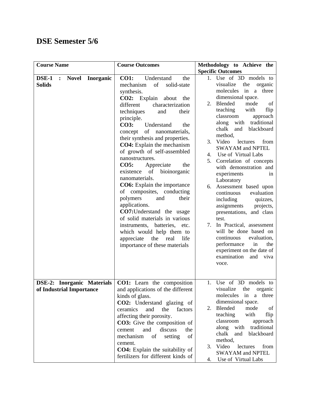#### **DSE Semester 5/6**

| <b>Course Name</b>                                            | <b>Course Outcomes</b>                                                                                                                                                                                                                                                                                                                                                                                                                                                                                                                                                                                                                                                                                                                                                                          | Methodology to Achieve the                                                                                                                                                                                                                                                                                                                                                                                                                                                                                                                                                                                                                                                                                                                                                                                |
|---------------------------------------------------------------|-------------------------------------------------------------------------------------------------------------------------------------------------------------------------------------------------------------------------------------------------------------------------------------------------------------------------------------------------------------------------------------------------------------------------------------------------------------------------------------------------------------------------------------------------------------------------------------------------------------------------------------------------------------------------------------------------------------------------------------------------------------------------------------------------|-----------------------------------------------------------------------------------------------------------------------------------------------------------------------------------------------------------------------------------------------------------------------------------------------------------------------------------------------------------------------------------------------------------------------------------------------------------------------------------------------------------------------------------------------------------------------------------------------------------------------------------------------------------------------------------------------------------------------------------------------------------------------------------------------------------|
|                                                               |                                                                                                                                                                                                                                                                                                                                                                                                                                                                                                                                                                                                                                                                                                                                                                                                 | <b>Specific Outcomes</b>                                                                                                                                                                                                                                                                                                                                                                                                                                                                                                                                                                                                                                                                                                                                                                                  |
| DSE-1 : Novel<br><b>Inorganic</b><br><b>Solids</b>            | <b>CO1:</b><br>Understand<br>the<br>of<br>solid-state<br>mechanism<br>synthesis.<br>CO2: Explain about<br>the<br>different<br>characterization<br>techniques<br>and<br>their<br>principle.<br><b>CO3:</b><br>Understand<br>the<br>concept of nanomaterials,<br>their synthesis and properties.<br><b>CO4</b> : Explain the mechanism<br>of growth of self-assembled<br>nanostructures.<br>CO5:<br>Appreciate<br>the<br>existence of<br>bioinorganic<br>nanomaterials.<br><b>CO6:</b> Explain the importance<br>of composites, conducting<br>polymers<br>and<br>their<br>applications.<br><b>CO7:</b> Understand the usage<br>of solid materials in various<br>instruments, batteries,<br>etc.<br>which would help them to<br>the<br>appreciate<br>real<br>life<br>importance of these materials | 1. Use of 3D models to<br>visualize<br>the<br>organic<br>three<br>molecules<br>in<br>a<br>dimensional space.<br>Blended<br>mode<br>2.<br>of<br>teaching<br>with<br>flip<br>classroom<br>approach<br>traditional<br>along<br>with<br>blackboard<br>chalk<br>and<br>method,<br>Video<br>3.<br>lectures<br>from<br><b>SWAYAM and NPTEL</b><br>Use of Virtual Labs<br>4.<br>Correlation of concepts<br>5.<br>with demonstration and<br>experiments<br>in<br>Laboratory<br>6. Assessment based upon<br>continuous<br>evaluation<br>including<br>quizzes,<br>assignments<br>projects,<br>presentations, and class<br>test.<br>In Practical, assessment<br>7.<br>will be done based on<br>continuous<br>evaluation,<br>performance<br>in<br>the<br>experiment on the date of<br>examination<br>and viva<br>voce. |
| <b>DSE-2: Inorganic Materials</b><br>of Industrial Importance | CO1: Learn the composition<br>and applications of the different<br>kinds of glass.<br>CO2: Understand glazing of<br>ceramics<br>and<br>the<br>factors<br>affecting their porosity.<br>CO3: Give the composition of<br>discuss<br>and<br>the<br>cement<br>mechanism<br>of<br>setting<br>of<br>cement.<br>CO4: Explain the suitability of<br>fertilizers for different kinds of                                                                                                                                                                                                                                                                                                                                                                                                                   | 1. Use of 3D models to<br>visualize<br>organic<br>the<br>in<br>molecules<br>a three<br>dimensional space.<br>Blended<br>mode<br>of<br>2.<br>teaching<br>with<br>flip<br>classroom<br>approach<br>traditional<br>along<br>with<br>blackboard<br>chalk<br>and<br>method,<br>Video<br>3.<br>lectures<br>from<br>SWAYAM and NPTEL<br>Use of Virtual Labs<br>4.                                                                                                                                                                                                                                                                                                                                                                                                                                                |